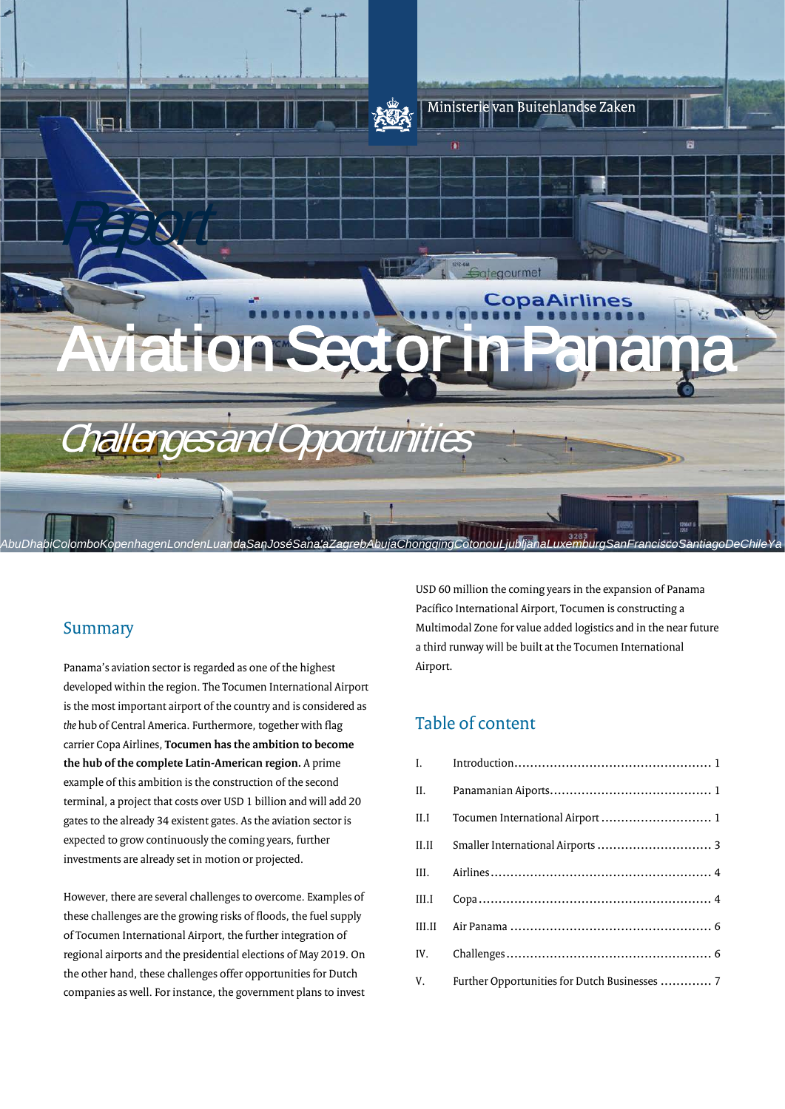

## Summary

Panama's aviation sector is regarded as one of the highest developed within the region. The Tocumen International Airport is the most important airport of the country and is considered as *the* hub of Central America. Furthermore, together with flag carrier Copa Airlines, **Tocumen has the ambition to become the hub of the complete Latin-American region.** A prime example of this ambition is the construction of the second terminal, a project that costs over USD 1 billion and will add 20 gates to the already 34 existent gates. As the aviation sector is expected to grow continuously the coming years, further investments are already set in motion or projected.

However, there are several challenges to overcome. Examples of these challenges are the growing risks of floods, the fuel supply of Tocumen International Airport, the further integration of regional airports and the presidential elections of May 2019. On the other hand, these challenges offer opportunities for Dutch companies as well. For instance, the government plans to invest

USD 60 million the coming years in the expansion of Panama Pacífico International Airport, Tocumen is constructing a Multimodal Zone for value added logistics and in the near future a third runway will be built at the Tocumen International Airport.

## Table of content

| II.    |                                                  |
|--------|--------------------------------------------------|
| II.I   | Tocumen International Airport  1                 |
| II.II  | Smaller International Airports  3                |
| III.   |                                                  |
| III.I  |                                                  |
| III.II |                                                  |
| IV.    |                                                  |
|        | V. Further Opportunities for Dutch Businesses  7 |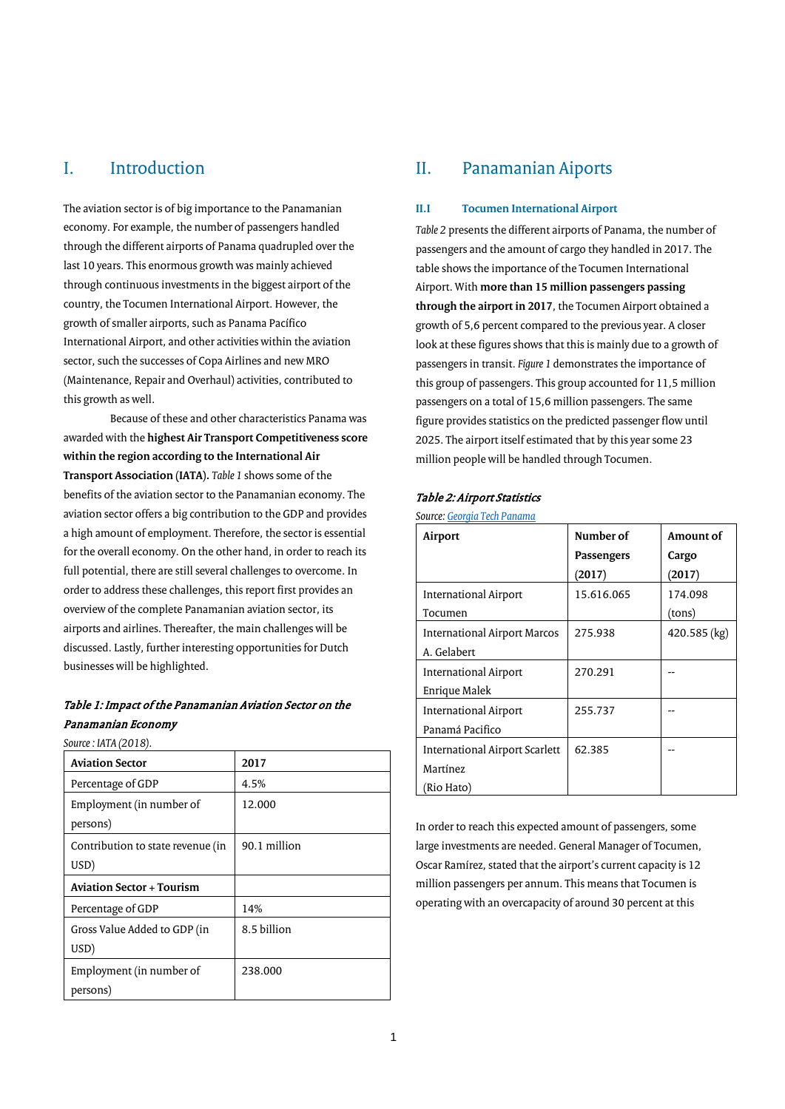## <span id="page-1-0"></span>I. Introduction

The aviation sector is of big importance to the Panamanian economy. For example, the number of passengers handled through the different airports of Panama quadrupled over the last 10 years. This enormous growth was mainly achieved through continuous investments in the biggest airport of the country, the Tocumen International Airport. However, the growth of smaller airports, such as Panama Pacífico International Airport, and other activities within the aviation sector, such the successes of Copa Airlines and new MRO (Maintenance, Repair and Overhaul) activities, contributed to this growth as well.

Because of these and other characteristics Panama was awarded with the **highest Air Transport Competitiveness score within the region according to the International Air Transport Association (IATA).** *Table 1* shows some of the benefits of the aviation sector to the Panamanian economy. The aviation sector offers a big contribution to the GDP and provides a high amount of employment. Therefore, the sector is essential for the overall economy. On the other hand, in order to reach its full potential, there are still several challenges to overcome. In order to address these challenges, this report first provides an overview of the complete Panamanian aviation sector, its airports and airlines. Thereafter, the main challenges will be discussed. Lastly, further interesting opportunities for Dutch businesses will be highlighted.

## Table 1: Impact of the Panamanian Aviation Sector on the Panamanian Economy

*Source : IATA (2018).*

| <b>Aviation Sector</b>                    | 2017         |
|-------------------------------------------|--------------|
| Percentage of GDP                         | 4.5%         |
| Employment (in number of<br>persons)      | 12.000       |
| Contribution to state revenue (in<br>USD) | 90.1 million |
| <b>Aviation Sector + Tourism</b>          |              |
| Percentage of GDP                         | 14%          |
| Gross Value Added to GDP (in<br>USD)      | 8.5 billion  |
| Employment (in number of<br>persons)      | 238,000      |

## <span id="page-1-1"></span>II. Panamanian Aiports

## <span id="page-1-2"></span>**II.I Tocumen International Airport**

*Table 2* presents the different airports of Panama, the number of passengers and the amount of cargo they handled in 2017. The table shows the importance of the Tocumen International Airport. With **more than 15 million passengers passing through the airport in 2017**, the Tocumen Airport obtained a growth of 5,6 percent compared to the previous year. A closer look at these figures shows that this is mainly due to a growth of passengers in transit. *Figure 1* demonstrates the importance of this group of passengers. This group accounted for 11,5 million passengers on a total of 15,6 million passengers. The same figure provides statistics on the predicted passenger flow until 2025. The airport itself estimated that by this year some 23 million people will be handled through Tocumen.

### Table 2: Airport Statistics

|  | Source: Georgia Tech Panama |  |
|--|-----------------------------|--|
|  |                             |  |

| Airport                        | Number of<br>Passengers<br>(2017) | Amount of<br>Cargo<br>(2017) |
|--------------------------------|-----------------------------------|------------------------------|
| International Airport          | 15.616.065                        | 174.098                      |
| Tocumen                        |                                   | (tons)                       |
| International Airport Marcos   | 275.938                           | 420.585 (kg)                 |
| A. Gelabert                    |                                   |                              |
| International Airport          | 270.291                           |                              |
| Enrique Malek                  |                                   |                              |
| International Airport          | 255.737                           |                              |
| Panamá Pacifico                |                                   |                              |
| International Airport Scarlett | 62.385                            |                              |
| Martínez                       |                                   |                              |
| (Rio Hato)                     |                                   |                              |

In order to reach this expected amount of passengers, some large investments are needed. General Manager of Tocumen, Oscar Ramírez, stated that the airport's current capacity is 12 million passengers per annum. This means that Tocumen is operating with an overcapacity of around 30 percent at this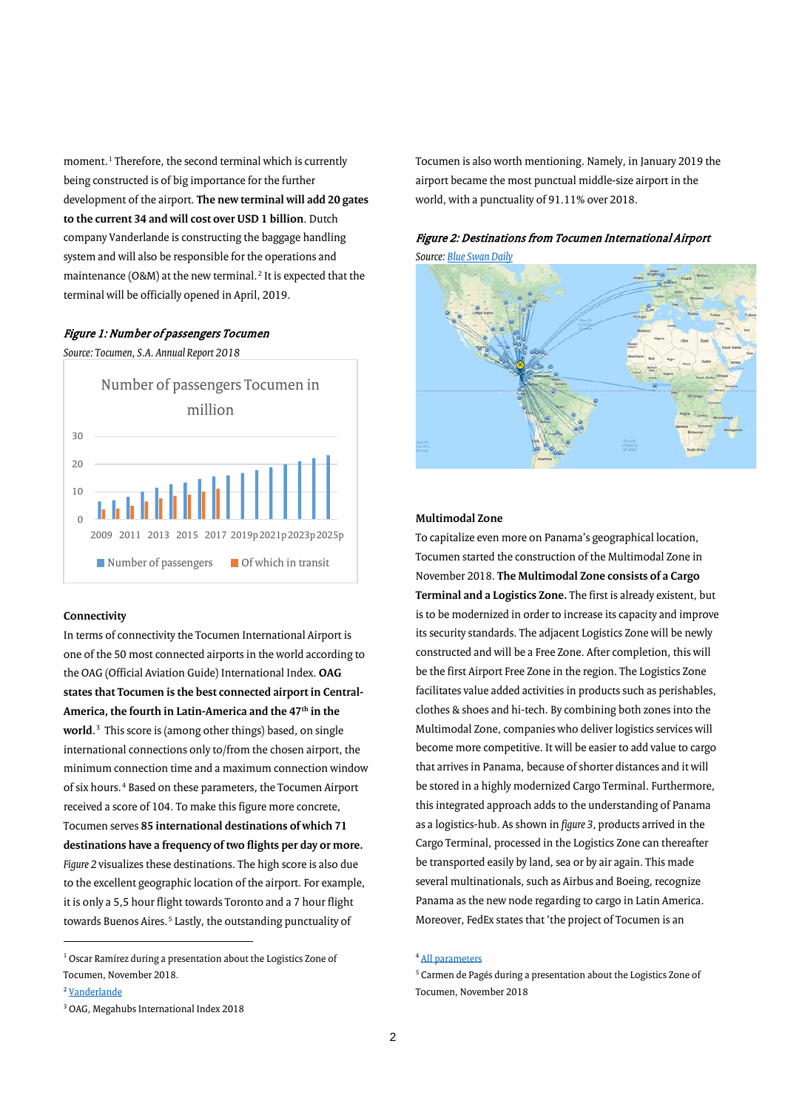moment.<sup>[1](#page-2-0)</sup> Therefore, the second terminal which is currently being constructed is of big importance for the further development of the airport. **The new terminal will add 20 gates to the current 34 and will cost over USD 1 billion**. Dutch company Vanderlande is constructing the baggage handling system and will also be responsible for the operations and maintenance (O&M) at the new terminal.<sup>[2](#page-2-1)</sup> It is expected that the terminal will be officially opened in April, 2019.

## Figure 1: Number of passengers Tocumen

*Source: Tocumen, S.A. Annual Report 2018*



### **Connectivity**

In terms of connectivity the Tocumen International Airport is one of the 50 most connected airports in the world according to the OAG (Official Aviation Guide) International Index. **OAG states that Tocumen is the best connected airport in Central-**America, the fourth in Latin-America and the 47<sup>th</sup> in the **world**. [3](#page-2-2) This score is (among other things) based, on single international connections only to/from the chosen airport, the minimum connection time and a maximum connection window of six hours.[4](#page-2-0) Based on these parameters, the Tocumen Airport received a score of 104. To make this figure more concrete, Tocumen serves **85 international destinations of which 71 destinations have a frequency of two flights per day or more.** *Figure 2* visualizes these destinations. The high score is also due to the excellent geographic location of the airport. For example, it is only a 5,5 hour flight towards Toronto and a 7 hour flight towards Buenos Aires.<sup>[5](#page-2-3)</sup> Lastly, the outstanding punctuality of

j

Tocumen is also worth mentioning. Namely, in January 2019 the airport became the most punctual middle-size airport in the world, with a punctuality of 91.11% over 2018.





### **Multimodal Zone**

To capitalize even more on Panama's geographical location, Tocumen started the construction of the Multimodal Zone in November 2018. **The Multimodal Zone consists of a Cargo Terminal and a Logistics Zone.** The first is already existent, but is to be modernized in order to increase its capacity and improve its security standards. The adjacent Logistics Zone will be newly constructed and will be a Free Zone. After completion, this will be the first Airport Free Zone in the region. The Logistics Zone facilitates value added activities in products such as perishables, clothes & shoes and hi-tech. By combining both zones into the Multimodal Zone, companies who deliver logistics services will become more competitive. It will be easier to add value to cargo that arrives in Panama, because of shorter distances and it will be stored in a highly modernized Cargo Terminal. Furthermore, this integrated approach adds to the understanding of Panama as a logistics-hub. As shown in *figure 3,* products arrived in the Cargo Terminal, processed in the Logistics Zone can thereafter be transported easily by land, sea or by air again. This made several multinationals, such as Airbus and Boeing, recognize Panama as the new node regarding to cargo in Latin America. Moreover, FedEx states that 'the project of Tocumen is an

#### <sup>4</sup> [All parameters](https://www.oag.com/connections-analyser-user-guide)

<span id="page-2-3"></span><span id="page-2-0"></span><sup>&</sup>lt;sup>1</sup> Oscar Ramírez during a presentation about the Logistics Zone of Tocumen, November 2018.

<span id="page-2-1"></span><sup>2</sup> [Vanderlande](https://www.vanderlande.com/news/tocumen-international-airport-panama-selects-vanderlande-for-om-support)

<span id="page-2-2"></span><sup>3</sup> OAG, Megahubs International Index 2018

<sup>5</sup> Carmen de Pagés during a presentation about the Logistics Zone of Tocumen, November 2018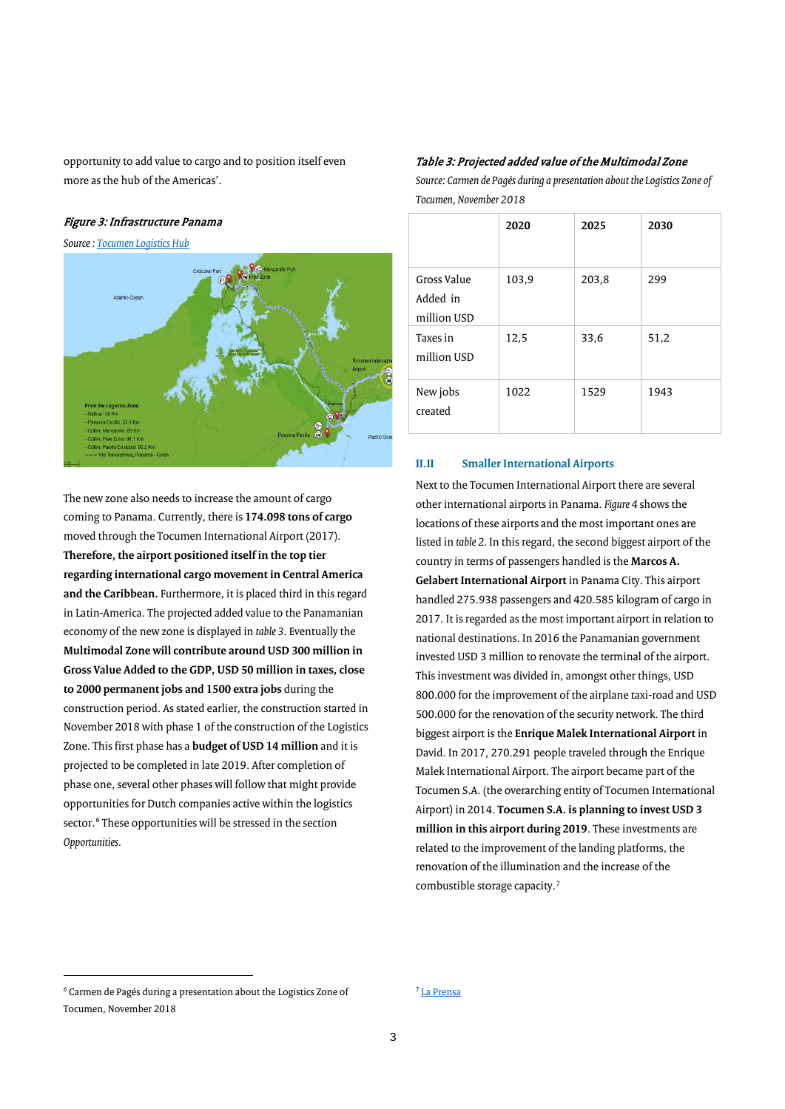opportunity to add value to cargo and to position itself even more as the hub of the Americas'.

## Figure 3: Infrastructure Panama

*Source[: Tocumen Logistics Hub](http://tocumenlogisticshub.com/?lang=en)*



The new zone also needs to increase the amount of cargo coming to Panama. Currently, there is **174.098 tons of cargo** moved through the Tocumen International Airport (2017). **Therefore, the airport positioned itself in the top tier regarding international cargo movement in Central America and the Caribbean.** Furthermore, it is placed third in this regard in Latin-America. The projected added value to the Panamanian economy of the new zone is displayed in *table 3.* Eventually the **Multimodal Zone will contribute around USD 300 million in Gross Value Added to the GDP, USD 50 million in taxes, close to 2000 permanent jobs and 1500 extra jobs** during the construction period. As stated earlier, the construction started in November 2018 with phase 1 of the construction of the Logistics Zone. This first phase has a **budget of USD 14 million** and it is projected to be completed in late 2019. After completion of phase one, several other phases will follow that might provide opportunities for Dutch companies active within the logistics sector.<sup>[6](#page-3-1)</sup> These opportunities will be stressed in the section *Opportunities.*

#### Table 3: Projected added value of the Multimodal Zone

*Source: Carmen de Pagés during a presentation about the Logistics Zone of Tocumen, November 2018*

|                                        | 2020  | 2025  | 2030 |
|----------------------------------------|-------|-------|------|
| Gross Value<br>Added in<br>million USD | 103,9 | 203,8 | 299  |
| Taxes in<br>million USD                | 12,5  | 33,6  | 51,2 |
| New jobs<br>created                    | 1022  | 1529  | 1943 |

### <span id="page-3-0"></span>**II.II Smaller International Airports**

Next to the Tocumen International Airport there are several other international airports in Panama. *Figure 4* shows the locations of these airports and the most important ones are listed in *table 2.* In this regard, the second biggest airport of the country in terms of passengers handled is the **Marcos A. Gelabert International Airport** in Panama City. This airport handled 275.938 passengers and 420.585 kilogram of cargo in 2017. It is regarded as the most important airport in relation to national destinations. In 2016 the Panamanian government invested USD 3 million to renovate the terminal of the airport. This investment was divided in, amongst other things, USD 800.000 for the improvement of the airplane taxi-road and USD 500.000 for the renovation of the security network. The third biggest airport is the **Enrique Malek International Airport** in David. In 2017, 270.291 people traveled through the Enrique Malek International Airport. The airport became part of the Tocumen S.A. (the overarching entity of Tocumen International Airport) in 2014. **Tocumen S.A. is planning to invest USD 3 million in this airport during 2019**. These investments are related to the improvement of the landing platforms, the renovation of the illumination and the increase of the combustible storage capacity.[7](#page-3-1)

 $\overline{a}$ 

#### <sup>7</sup> [La Prensa](https://www.prensa.com/economia/Inversiones-levantar-vuelo-aeropuertos-provinciales_0_4588791105.html)

<span id="page-3-1"></span><sup>6</sup> Carmen de Pagés during a presentation about the Logistics Zone of Tocumen, November 2018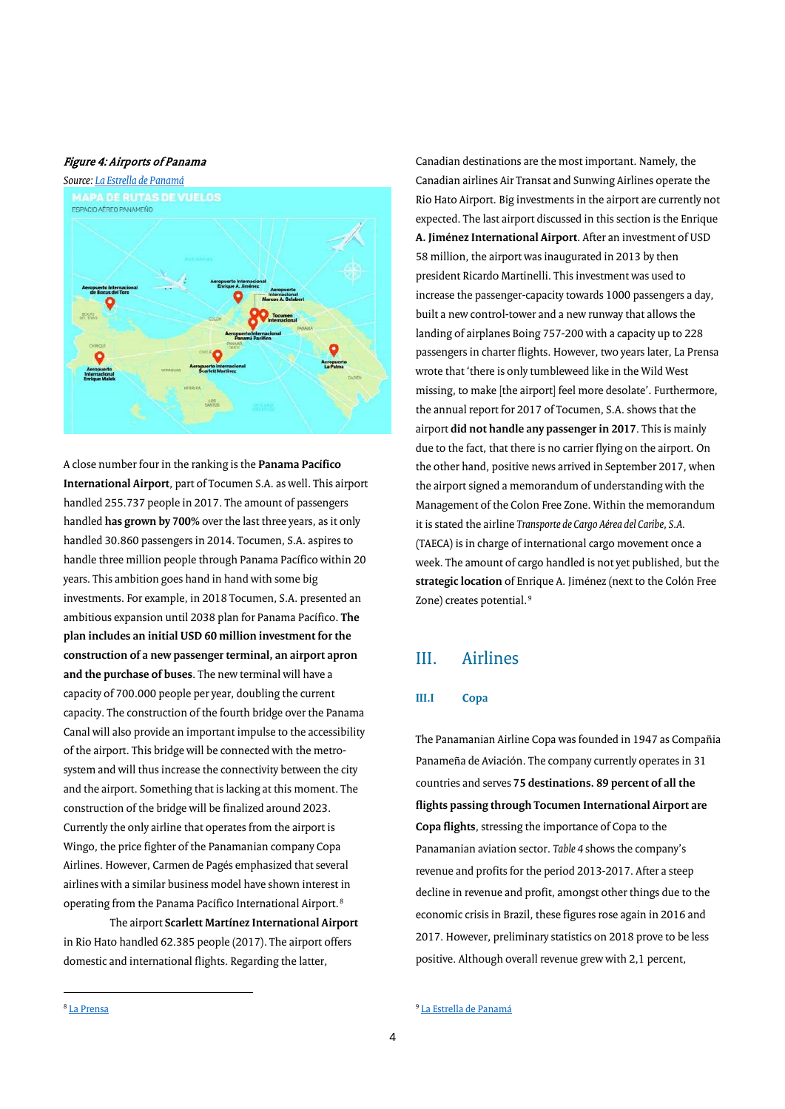### Figure 4: Airports of Panama



A close number four in the ranking is the **Panama Pacífico International Airport**, part of Tocumen S.A. as well. This airport handled 255.737 people in 2017. The amount of passengers handled **has grown by 700%** over the last three years, as it only handled 30.860 passengers in 2014. Tocumen, S.A. aspires to handle three million people through Panama Pacífico within 20 years. This ambition goes hand in hand with some big investments. For example, in 2018 Tocumen, S.A. presented an ambitious expansion until 2038 plan for Panama Pacífico. **The plan includes an initial USD 60 million investment for the construction of a new passenger terminal, an airport apron and the purchase of buses**. The new terminal will have a capacity of 700.000 people per year, doubling the current capacity. The construction of the fourth bridge over the Panama Canal will also provide an important impulse to the accessibility of the airport. This bridge will be connected with the metrosystem and will thus increase the connectivity between the city and the airport. Something that is lacking at this moment. The construction of the bridge will be finalized around 2023. Currently the only airline that operates from the airport is Wingo, the price fighter of the Panamanian company Copa Airlines. However, Carmen de Pagés emphasized that several airlines with a similar business model have shown interest in operating from the Panama Pacífico International Airport.[8](#page-4-2)

The airport **Scarlett Martínez International Airport** in Rio Hato handled 62.385 people (2017). The airport offers domestic and international flights. Regarding the latter,

Canadian destinations are the most important. Namely, the Canadian airlines Air Transat and Sunwing Airlines operate the Rio Hato Airport. Big investments in the airport are currently not expected. The last airport discussed in this section is the Enrique **A. Jiménez International Airport**. After an investment of USD 58 million, the airport was inaugurated in 2013 by then president Ricardo Martinelli. This investment was used to increase the passenger-capacity towards 1000 passengers a day, built a new control-tower and a new runway that allows the landing of airplanes Boing 757-200 with a capacity up to 228 passengers in charter flights. However, two years later, La Prensa wrote that 'there is only tumbleweed like in the Wild West missing, to make [the airport] feel more desolate'. Furthermore, the annual report for 2017 of Tocumen, S.A. shows that the airport **did not handle any passenger in 2017**. This is mainly due to the fact, that there is no carrier flying on the airport. On the other hand, positive news arrived in September 2017, when the airport signed a memorandum of understanding with the Management of the Colon Free Zone. Within the memorandum it is stated the airline *Transporte de Cargo Aérea del Caribe, S.A.*  (TAECA) is in charge of international cargo movement once a week. The amount of cargo handled is not yet published, but the **strategic location** of Enrique A. Jiménez (next to the Colón Free Zone) creates potential.<sup>[9](#page-4-2)</sup>

## <span id="page-4-0"></span>III. Airlines

## <span id="page-4-1"></span>**III.I Copa**

The Panamanian Airline Copa was founded in 1947 as Compañia Panameña de Aviación. The company currently operates in 31 countries and serves **75 destinations. 89 percent of all the flights passing through Tocumen International Airport are Copa flights**, stressing the importance of Copa to the Panamanian aviation sector. *Table 4* shows the company's revenue and profits for the period 2013-2017. After a steep decline in revenue and profit, amongst other things due to the economic crisis in Brazil, these figures rose again in 2016 and 2017. However, preliminary statistics on 2018 prove to be less positive. Although overall revenue grew with 2,1 percent,

4

<span id="page-4-2"></span>j

<sup>9</sup> [La Estrella de Panamá](http://laestrella.com.pa/panama/nacional/acuerdo-para-elaeropuerto-enrique-jimenez-inicie-fase-internacional/24022198)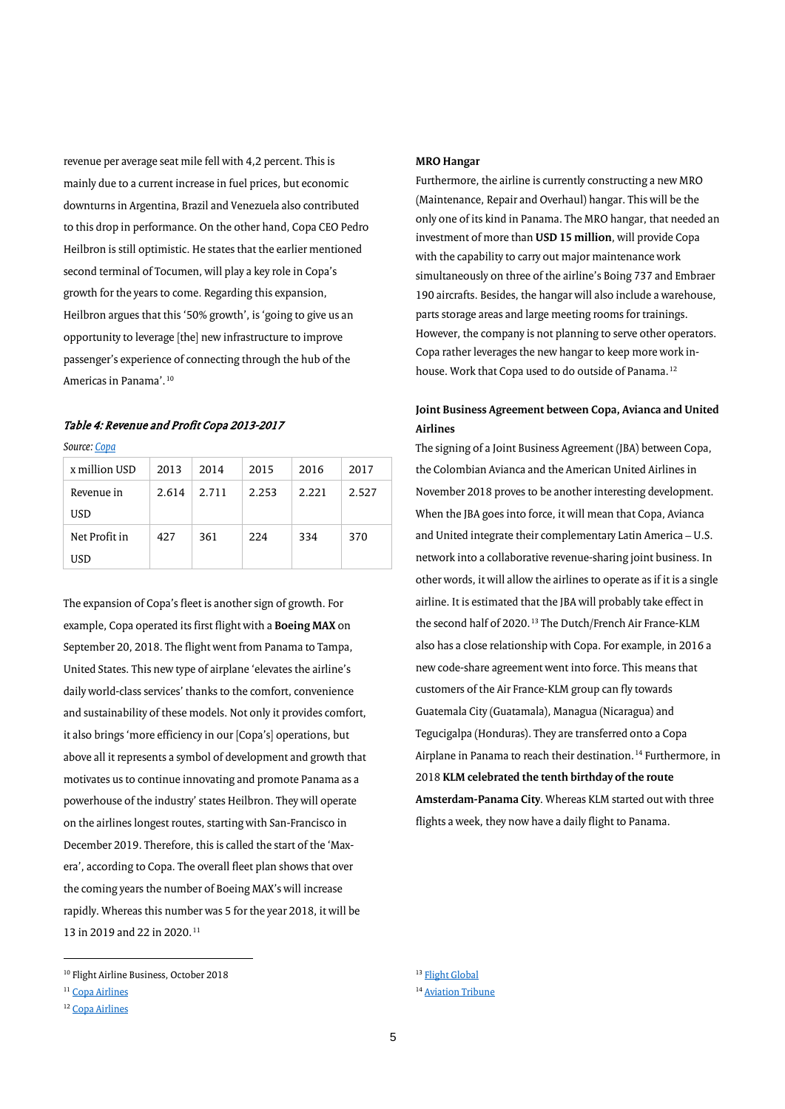revenue per average seat mile fell with 4,2 percent. This is mainly due to a current increase in fuel prices, but economic downturns in Argentina, Brazil and Venezuela also contributed to this drop in performance. On the other hand, Copa CEO Pedro Heilbron is still optimistic. He states that the earlier mentioned second terminal of Tocumen, will play a key role in Copa's growth for the years to come. Regarding this expansion, Heilbron argues that this '50% growth', is 'going to give us an opportunity to leverage [the] new infrastructure to improve passenger's experience of connecting through the hub of the Americas in Panama'.[10](#page-5-0)

## Table 4: Revenue and Profit Copa 2013-2017

*Source[: Copa](https://copa.gcs-web.com/investor-relations)*

| x million USD | 2013  | 2014  | 2015  | 2016  | 2017  |
|---------------|-------|-------|-------|-------|-------|
| Revenue in    | 2.614 | 2.711 | 2.253 | 2.221 | 2.527 |
| USD           |       |       |       |       |       |
| Net Profit in | 427   | 361   | 224   | 334   | 370   |
| USD           |       |       |       |       |       |

The expansion of Copa's fleet is another sign of growth. For example, Copa operated its first flight with a **Boeing MAX** on September 20, 2018. The flight went from Panama to Tampa, United States. This new type of airplane 'elevates the airline's daily world-class services' thanks to the comfort, convenience and sustainability of these models. Not only it provides comfort, it also brings 'more efficiency in our [Copa's] operations, but above all it represents a symbol of development and growth that motivates us to continue innovating and promote Panama as a powerhouse of the industry' states Heilbron. They will operate on the airlines longest routes, starting with San-Francisco in December 2019. Therefore, this is called the start of the 'Maxera', according to Copa. The overall fleet plan shows that over the coming years the number of Boeing MAX's will increase rapidly. Whereas this number was 5 for the year 2018, it will be 13 in 2019 and 22 in 2020.<sup>[11](#page-5-1)</sup>

 $\overline{a}$ 

#### **MRO Hangar**

Furthermore, the airline is currently constructing a new MRO (Maintenance, Repair and Overhaul) hangar. This will be the only one of its kind in Panama. The MRO hangar, that needed an investment of more than **USD 15 million**, will provide Copa with the capability to carry out major maintenance work simultaneously on three of the airline's Boing 737 and Embraer 190 aircrafts. Besides, the hangar will also include a warehouse, parts storage areas and large meeting rooms for trainings. However, the company is not planning to serve other operators. Copa rather leverages the new hangar to keep more work in-house. Work that Copa used to do outside of Panama.<sup>[12](#page-5-2)</sup>

## **Joint Business Agreement between Copa, Avianca and United Airlines**

The signing of a Joint Business Agreement (JBA) between Copa, the Colombian Avianca and the American United Airlines in November 2018 proves to be another interesting development. When the JBA goes into force, it will mean that Copa, Avianca and United integrate their complementary Latin America – U.S. network into a collaborative revenue-sharing joint business. In other words, it will allow the airlines to operate as if it is a single airline. It is estimated that the JBA will probably take effect in the second half of 2020.<sup>[13](#page-5-0)</sup> The Dutch/French Air France-KLM also has a close relationship with Copa. For example, in 2016 a new code-share agreement went into force. This means that customers of the Air France-KLM group can fly towards Guatemala City (Guatamala), Managua (Nicaragua) and Tegucigalpa (Honduras). They are transferred onto a Copa Airplane in Panama to reach their destination.<sup>[14](#page-5-1)</sup> Furthermore, in 2018 **KLM celebrated the tenth birthday of the route Amsterdam-Panama City**. Whereas KLM started out with three flights a week, they now have a daily flight to Panama.

<span id="page-5-0"></span><sup>10</sup> Flight Airline Business, October 2018

<span id="page-5-1"></span><sup>&</sup>lt;sup>11</sup> [Copa Airlines](https://www.copaair.com/en/web/us/copa-airlines-enters-new-max-era)

<span id="page-5-2"></span><sup>&</sup>lt;sup>12</sup> [Copa Airlines](https://www.copaair.com/es/web/us/nuevo-hangar-copa-airlines-en-panama)

<sup>&</sup>lt;sup>13</sup> [Flight Global](https://www.flightglobal.com/news/articles/avianca-copa-and-united-reach-joint-venture-accord-454071/)

<sup>14</sup> [Aviation Tribune](http://aviationtribune.com/airlines/north-america/air-france-klm-strengthens-partnership-copa-airlines/)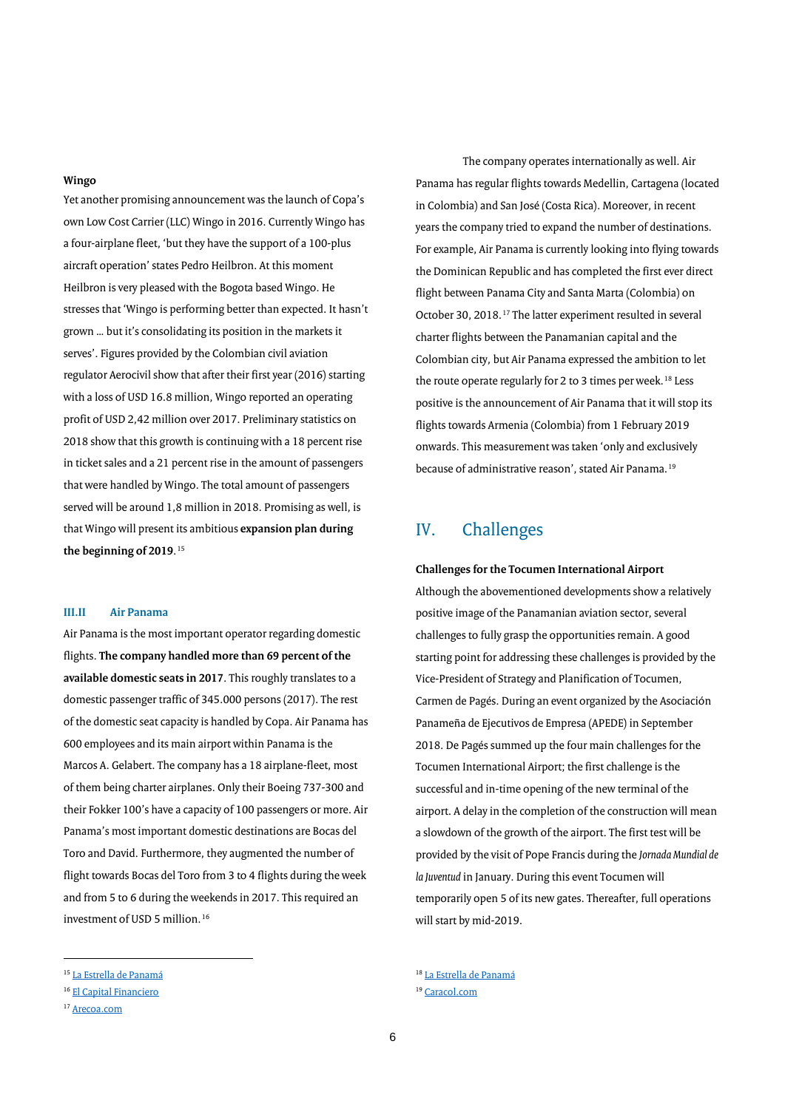## **Wingo**

Yet another promising announcement was the launch of Copa's own Low Cost Carrier (LLC) Wingo in 2016. Currently Wingo has a four-airplane fleet, 'but they have the support of a 100-plus aircraft operation' states Pedro Heilbron. At this moment Heilbron is very pleased with the Bogota based Wingo. He stresses that 'Wingo is performing better than expected. It hasn't grown … but it's consolidating its position in the markets it serves'. Figures provided by the Colombian civil aviation regulator Aerocivil show that after their first year (2016) starting with a loss of USD 16.8 million, Wingo reported an operating profit of USD 2,42 million over 2017. Preliminary statistics on 2018 show that this growth is continuing with a 18 percent rise in ticket sales and a 21 percent rise in the amount of passengers that were handled by Wingo. The total amount of passengers served will be around 1,8 million in 2018. Promising as well, is that Wingo will present its ambitious **expansion plan during**  the beginning of 2019.<sup>[15](#page-6-2)</sup>

## <span id="page-6-0"></span>**III.II Air Panama**

Air Panama is the most important operator regarding domestic flights. **The company handled more than 69 percent of the available domestic seats in 2017**. This roughly translates to a domestic passenger traffic of 345.000 persons (2017). The rest of the domestic seat capacity is handled by Copa. Air Panama has 600 employees and its main airport within Panama is the Marcos A. Gelabert. The company has a 18 airplane-fleet, most of them being charter airplanes. Only their Boeing 737-300 and their Fokker 100's have a capacity of 100 passengers or more. Air Panama's most important domestic destinations are Bocas del Toro and David. Furthermore, they augmented the number of flight towards Bocas del Toro from 3 to 4 flights during the week and from 5 to 6 during the weekends in 2017. This required an investment of USD 5 million.<sup>[16](#page-6-3)</sup>

<span id="page-6-2"></span><sup>15</sup> [La Estrella de Panamá](http://laestrella.com.pa/economia/wingo-anunciara-plan-expansion-inicio-2019/24096820)

 $\overline{a}$ 

The company operates internationally as well. Air Panama has regular flights towards Medellin, Cartagena (located in Colombia) and San José (Costa Rica). Moreover, in recent years the company tried to expand the number of destinations. For example, Air Panama is currently looking into flying towards the Dominican Republic and has completed the first ever direct flight between Panama City and Santa Marta (Colombia) on October 30, 2018.[17](#page-6-4) The latter experiment resulted in several charter flights between the Panamanian capital and the Colombian city, but Air Panama expressed the ambition to let the route operate regularly for 2 to 3 times per week.<sup>[18](#page-6-2)</sup> Less positive is the announcement of Air Panama that it will stop its flights towards Armenia (Colombia) from 1 February 2019 onwards. This measurement was taken 'only and exclusively because of administrative reason', stated Air Panama.<sup>[19](#page-6-3)</sup>

## <span id="page-6-1"></span>IV. Challenges

## **Challenges for the Tocumen International Airport**

Although the abovementioned developments show a relatively positive image of the Panamanian aviation sector, several challenges to fully grasp the opportunities remain. A good starting point for addressing these challenges is provided by the Vice-President of Strategy and Planification of Tocumen, Carmen de Pagés. During an event organized by the Asociación Panameña de Ejecutivos de Empresa (APEDE) in September 2018. De Pagés summed up the four main challenges for the Tocumen International Airport; the first challenge is the successful and in-time opening of the new terminal of the airport. A delay in the completion of the construction will mean a slowdown of the growth of the airport. The first test will be provided by the visit of Pope Francis during the *Jornada Mundial de la Juventud* in January. During this event Tocumen will temporarily open 5 of its new gates. Thereafter, full operations will start by mid-2019.

<span id="page-6-3"></span><sup>16</sup> [El Capital Financiero](https://elcapitalfinanciero.com/air-panama-y-copa-airlines-amplian-sus-ofertas-de-destinos/)

<span id="page-6-4"></span><sup>17</sup> [Arecoa.com](https://www.arecoa.com/aerolineas/2018/03/06/air-panama-interes-abrir-vuelos-republica-dominicana/)

<sup>18</sup> [La Estrella de Panamá](http://laestrella.com.pa/economia/panama-viajes-lanza-vuelos-charter-directos-santa-marta-colombia/24083561) <sup>19</sup> [Caracol.com](http://caracol.com.co/emisora/2018/11/07/armenia/1541597901_464648.html)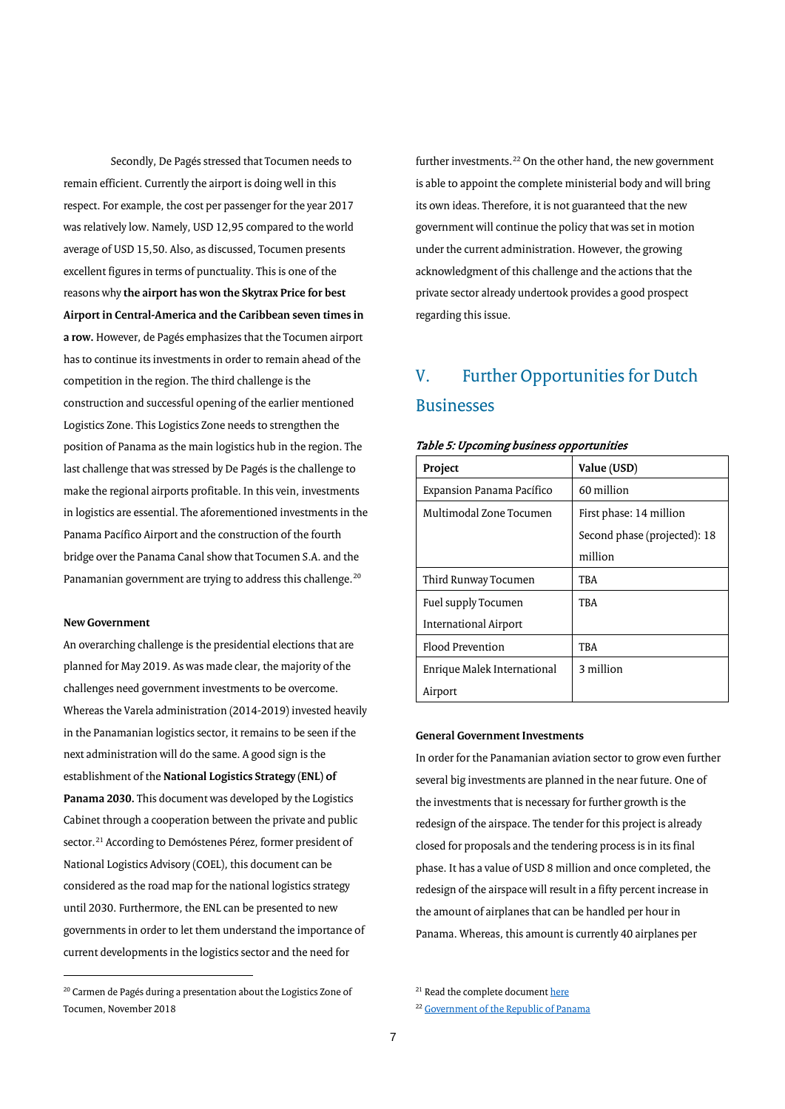Secondly, De Pagés stressed that Tocumen needs to remain efficient. Currently the airport is doing well in this respect. For example, the cost per passenger for the year 2017 was relatively low. Namely, USD 12,95 compared to the world average of USD 15,50. Also, as discussed, Tocumen presents excellent figures in terms of punctuality. This is one of the reasons why **the airport has won the Skytrax Price for best Airport in Central-America and the Caribbean seven times in a row.** However, de Pagés emphasizes that the Tocumen airport has to continue its investments in order to remain ahead of the competition in the region. The third challenge is the construction and successful opening of the earlier mentioned Logistics Zone. This Logistics Zone needs to strengthen the position of Panama as the main logistics hub in the region. The last challenge that was stressed by De Pagés is the challenge to make the regional airports profitable. In this vein, investments in logistics are essential. The aforementioned investments in the Panama Pacífico Airport and the construction of the fourth bridge over the Panama Canal show that Tocumen S.A. and the Panamanian government are trying to address this challenge.<sup>20</sup>

### **New Government**

 $\overline{a}$ 

An overarching challenge is the presidential elections that are planned for May 2019. As was made clear, the majority of the challenges need government investments to be overcome. Whereas the Varela administration (2014-2019) invested heavily in the Panamanian logistics sector, it remains to be seen if the next administration will do the same. A good sign is the establishment of the **National Logistics Strategy (ENL) of Panama 2030.** This document was developed by the Logistics Cabinet through a cooperation between the private and public sector.<sup>[21](#page-7-1)</sup> According to Demóstenes Pérez, former president of National Logistics Advisory (COEL), this document can be considered as the road map for the national logistics strategy until 2030. Furthermore, the ENL can be presented to new governments in order to let them understand the importance of current developments in the logistics sector and the need for

further investments.<sup>[22](#page-7-2)</sup> On the other hand, the new government is able to appoint the complete ministerial body and will bring its own ideas. Therefore, it is not guaranteed that the new government will continue the policy that was set in motion under the current administration. However, the growing acknowledgment of this challenge and the actions that the private sector already undertook provides a good prospect regarding this issue.

# <span id="page-7-0"></span>V. Further Opportunities for Dutch **Businesses**

| Project                     | Value (USD)                  |
|-----------------------------|------------------------------|
| Expansion Panama Pacífico   | 60 million                   |
| Multimodal Zone Tocumen     | First phase: 14 million      |
|                             | Second phase (projected): 18 |
|                             | million                      |
| Third Runway Tocumen        | TBA                          |
| Fuel supply Tocumen         | <b>TBA</b>                   |
| International Airport       |                              |
| Flood Prevention            | TBA                          |
| Enrique Malek International | 3 million                    |
| Airport                     |                              |

#### Table 5: Upcoming business opportunities

## **General Government Investments**

In order for the Panamanian aviation sector to grow even further several big investments are planned in the near future. One of the investments that is necessary for further growth is the redesign of the airspace. The tender for this project is already closed for proposals and the tendering process is in its final phase. It has a value of USD 8 million and once completed, the redesign of the airspace will result in a fifty percent increase in the amount of airplanes that can be handled per hour in Panama. Whereas, this amount is currently 40 airplanes per

<span id="page-7-2"></span><span id="page-7-1"></span><sup>&</sup>lt;sup>20</sup> Carmen de Pagés during a presentation about the Logistics Zone of Tocumen, November 2018

<sup>&</sup>lt;sup>21</sup> Read the complete documen[t here](https://www.presidencia.gob.pa/pdfs/ELNP.pdf)

<sup>22</sup> [Government of the Republic of Panama](https://www.presidencia.gob.pa/Logistico/Ejecutivo-emite-decreto-que-adopta-Estrategia-Logistica-Nacional-de-Panama-2030)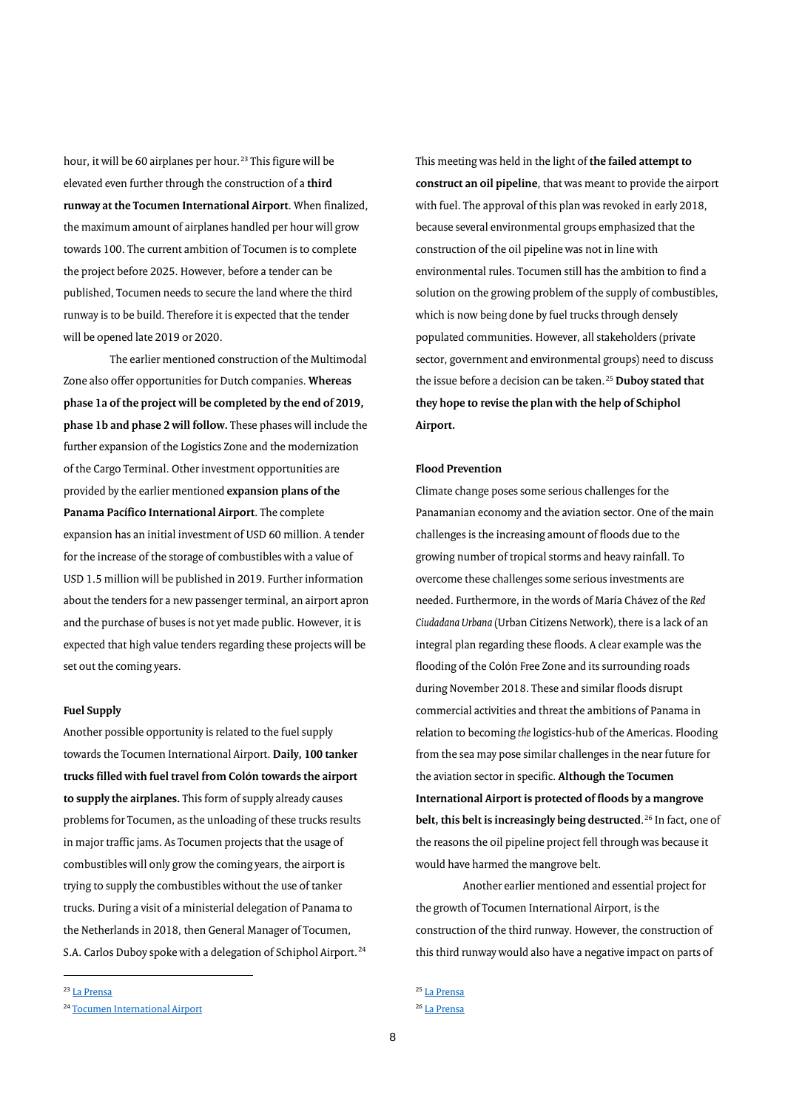hour, it will be 60 airplanes per hour.<sup>[23](#page-8-0)</sup> This figure will be elevated even further through the construction of a **third runway at the Tocumen International Airport**. When finalized, the maximum amount of airplanes handled per hour will grow towards 100. The current ambition of Tocumen is to complete the project before 2025. However, before a tender can be published, Tocumen needs to secure the land where the third runway is to be build. Therefore it is expected that the tender will be opened late 2019 or 2020.

The earlier mentioned construction of the Multimodal Zone also offer opportunities for Dutch companies. **Whereas phase 1a of the project will be completed by the end of 2019, phase 1b and phase 2 will follow.** These phases will include the further expansion of the Logistics Zone and the modernization of the Cargo Terminal. Other investment opportunities are provided by the earlier mentioned **expansion plans of the Panama Pacífico International Airport**. The complete expansion has an initial investment of USD 60 million. A tender for the increase of the storage of combustibles with a value of USD 1.5 million will be published in 2019. Further information about the tenders for a new passenger terminal, an airport apron and the purchase of buses is not yet made public. However, it is expected that high value tenders regarding these projects will be set out the coming years.

## **Fuel Supply**

Another possible opportunity is related to the fuel supply towards the Tocumen International Airport. **Daily, 100 tanker trucks filled with fuel travel from Colón towards the airport to supply the airplanes.** This form of supply already causes problems for Tocumen, as the unloading of these trucks results in major traffic jams. As Tocumen projects that the usage of combustibles will only grow the coming years, the airport is trying to supply the combustibles without the use of tanker trucks. During a visit of a ministerial delegation of Panama to the Netherlands in 2018, then General Manager of Tocumen, S.A. Carlos Duboy spoke with a delegation of Schiphol Airport.<sup>[24](#page-8-1)</sup> This meeting was held in the light of **the failed attempt to construct an oil pipeline**, that was meant to provide the airport with fuel. The approval of this plan was revoked in early 2018, because several environmental groups emphasized that the construction of the oil pipeline was not in line with environmental rules. Tocumen still has the ambition to find a solution on the growing problem of the supply of combustibles, which is now being done by fuel trucks through densely populated communities. However, all stakeholders (private sector, government and environmental groups) need to discuss the issue before a decision can be taken.[25](#page-8-0) **Duboy stated that they hope to revise the plan with the help of Schiphol Airport.** 

## **Flood Prevention**

Climate change poses some serious challenges for the Panamanian economy and the aviation sector. One of the main challenges is the increasing amount of floods due to the growing number of tropical storms and heavy rainfall. To overcome these challenges some serious investments are needed. Furthermore, in the words of María Chávez of the *Red Ciudadana Urbana* (Urban Citizens Network)*,* there is a lack of an integral plan regarding these floods. A clear example was the flooding of the Colón Free Zone and its surrounding roads during November 2018. These and similar floods disrupt commercial activities and threat the ambitions of Panama in relation to becoming *the* logistics-hub of the Americas. Flooding from the sea may pose similar challenges in the near future for the aviation sector in specific. **Although the Tocumen International Airport is protected of floods by a mangrove belt, this belt is increasingly being destructed.<sup>[26](#page-8-1)</sup> In fact, one of** the reasons the oil pipeline project fell through was because it would have harmed the mangrove belt.

Another earlier mentioned and essential project for the growth of Tocumen International Airport, is the construction of the third runway. However, the construction of this third runway would also have a negative impact on parts of

<span id="page-8-0"></span><sup>23</sup> [La Prensa](https://impresa.prensa.com/economia/Suspenden-licitacion-ampliar-espacio-aereo_0_5204479524.html)

 $\overline{a}$ 

<sup>25</sup> [La Prensa](https://www.prensa.com/sociedad/Corte-revoca-estudio-ambiental-Vertikal_0_4953254653.html) <sup>26</sup> [La Prensa](https://www.prensa.com/opinion/agua-manglares_0_4964503562.html)

<span id="page-8-1"></span><sup>24</sup> [Tocumen International Airport](http://www.tocumenpanama.aero/index.php/noticias/450-panama-se-prepara-para-recibir-a-25-millones-de-pasajeros-en-aeropuerto-internacional-de-tocumen)